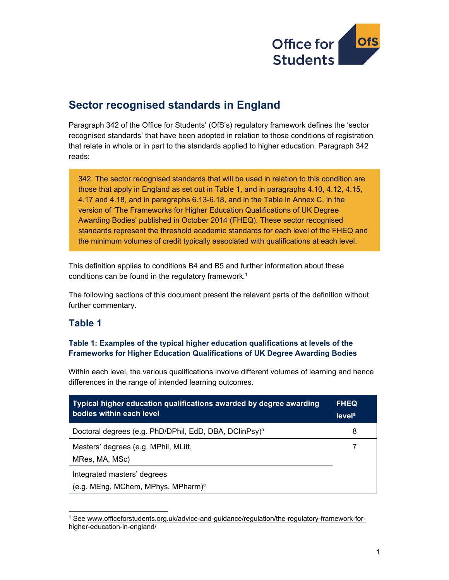

# **Sector recognised standards in England**

Paragraph 342 of the Office for Students' (OfS's) regulatory framework defines the 'sector recognised standards' that have been adopted in relation to those conditions of registration that relate in whole or in part to the standards applied to higher education. Paragraph 342 reads:

342. The sector recognised standards that will be used in relation to this condition are those that apply in England as set out in Table 1, and in paragraphs 4.10, 4.12, 4.15, 4.17 and 4.18, and in paragraphs 6.13-6.18, and in the Table in Annex C, in the version of 'The Frameworks for Higher Education Qualifications of UK Degree Awarding Bodies' published in October 2014 (FHEQ). These sector recognised standards represent the threshold academic standards for each level of the FHEQ and the minimum volumes of credit typically associated with qualifications at each level.

This definition applies to conditions B4 and B5 and further information about these conditions can be found in the regulatory framework.1

The following sections of this document present the relevant parts of the definition without further commentary.

# **Table 1**

#### **Table 1: Examples of the typical higher education qualifications at levels of the Frameworks for Higher Education Qualifications of UK Degree Awarding Bodies**

Within each level, the various qualifications involve different volumes of learning and hence differences in the range of intended learning outcomes.

| Typical higher education qualifications awarded by degree awarding<br>bodies within each level | <b>FHEQ</b><br>level <sup>a</sup> |  |
|------------------------------------------------------------------------------------------------|-----------------------------------|--|
| Doctoral degrees (e.g. PhD/DPhil, EdD, DBA, DClinPsy) <sup>b</sup>                             | 8                                 |  |
| Masters' degrees (e.g. MPhil, MLitt,<br>MRes, MA, MSc)                                         |                                   |  |
| Integrated masters' degrees<br>(e.g. MEng, MChem, MPhys, MPharm) $c$                           |                                   |  |

<sup>&</sup>lt;sup>1</sup> See www.officeforstudents.org.uk/advice-and-guidance/regulation/the-regulatory-framework-forhigher-education-in-england/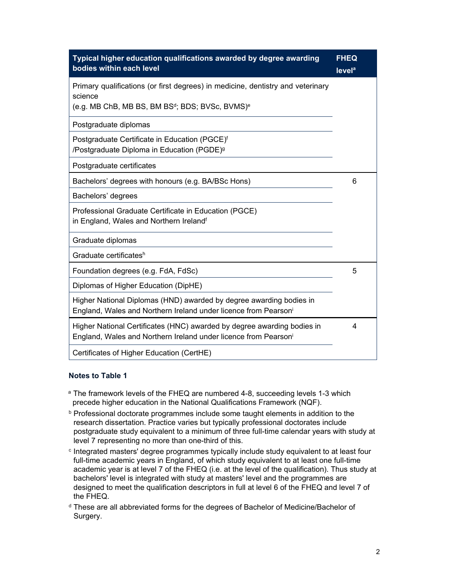| Typical higher education qualifications awarded by degree awarding<br>bodies within each level                                                         | <b>FHEQ</b><br>level <sup>a</sup> |
|--------------------------------------------------------------------------------------------------------------------------------------------------------|-----------------------------------|
| Primary qualifications (or first degrees) in medicine, dentistry and veterinary<br>science                                                             |                                   |
| (e.g. MB ChB, MB BS, BM BS <sup>d</sup> ; BDS; BVSc, BVMS) <sup>e</sup>                                                                                |                                   |
| Postgraduate diplomas                                                                                                                                  |                                   |
| Postgraduate Certificate in Education (PGCE) <sup>f</sup><br>/Postgraduate Diploma in Education (PGDE) <sup>9</sup>                                    |                                   |
| Postgraduate certificates                                                                                                                              |                                   |
| Bachelors' degrees with honours (e.g. BA/BSc Hons)                                                                                                     | 6                                 |
| Bachelors' degrees                                                                                                                                     |                                   |
| Professional Graduate Certificate in Education (PGCE)<br>in England, Wales and Northern Irelandf                                                       |                                   |
| Graduate diplomas                                                                                                                                      |                                   |
| Graduate certificates <sup>h</sup>                                                                                                                     |                                   |
| Foundation degrees (e.g. FdA, FdSc)                                                                                                                    | 5                                 |
| Diplomas of Higher Education (DipHE)                                                                                                                   |                                   |
| Higher National Diplomas (HND) awarded by degree awarding bodies in<br>England, Wales and Northern Ireland under licence from Pearson <sup>i</sup>     |                                   |
| Higher National Certificates (HNC) awarded by degree awarding bodies in<br>England, Wales and Northern Ireland under licence from Pearson <sup>i</sup> | 4                                 |
| Certificates of Higher Education (CertHE)                                                                                                              |                                   |

#### **Notes to Table 1**

- <sup>a</sup> The framework levels of the FHEQ are numbered 4-8, succeeding levels 1-3 which precede higher education in the National Qualifications Framework (NQF).
- $\overline{b}$  Professional doctorate programmes include some taught elements in addition to the research dissertation. Practice varies but typically professional doctorates include postgraduate study equivalent to a minimum of three full-time calendar years with study at level 7 representing no more than one-third of this.
- <sup>c</sup> Integrated masters' degree programmes typically include study equivalent to at least four full-time academic years in England, of which study equivalent to at least one full-time academic year is at level 7 of the FHEQ (i.e. at the level of the qualification). Thus study at bachelors' level is integrated with study at masters' level and the programmes are designed to meet the qualification descriptors in full at level 6 of the FHEQ and level 7 of the FHEQ.
- <sup>d</sup> These are all abbreviated forms for the degrees of Bachelor of Medicine/Bachelor of Surgery.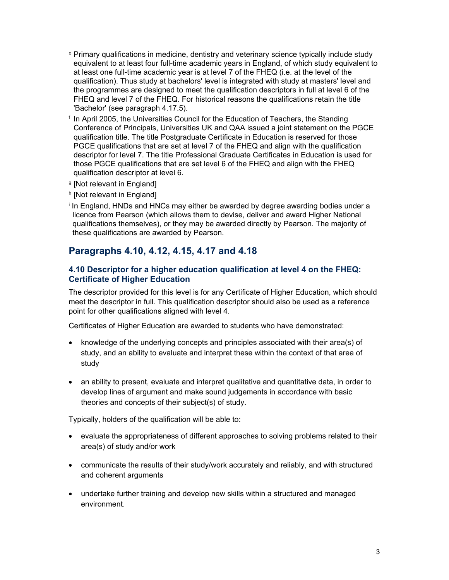- <sup>e</sup> Primary qualifications in medicine, dentistry and veterinary science typically include study equivalent to at least four full-time academic years in England, of which study equivalent to at least one full-time academic year is at level 7 of the FHEQ (i.e. at the level of the qualification). Thus study at bachelors' level is integrated with study at masters' level and the programmes are designed to meet the qualification descriptors in full at level 6 of the FHEQ and level 7 of the FHEQ. For historical reasons the qualifications retain the title 'Bachelor' (see paragraph 4.17.5).
- $<sup>f</sup>$  In April 2005, the Universities Council for the Education of Teachers, the Standing</sup> Conference of Principals, Universities UK and QAA issued a joint statement on the PGCE qualification title. The title Postgraduate Certificate in Education is reserved for those PGCE qualifications that are set at level 7 of the FHEQ and align with the qualification descriptor for level 7. The title Professional Graduate Certificates in Education is used for those PGCE qualifications that are set level 6 of the FHEQ and align with the FHEQ qualification descriptor at level 6.
- <sup>g</sup> [Not relevant in England]
- h [Not relevant in England]
- i In England, HNDs and HNCs may either be awarded by degree awarding bodies under a licence from Pearson (which allows them to devise, deliver and award Higher National qualifications themselves), or they may be awarded directly by Pearson. The majority of these qualifications are awarded by Pearson.

## **Paragraphs 4.10, 4.12, 4.15, 4.17 and 4.18**

#### **4.10 Descriptor for a higher education qualification at level 4 on the FHEQ: Certificate of Higher Education**

The descriptor provided for this level is for any Certificate of Higher Education, which should meet the descriptor in full. This qualification descriptor should also be used as a reference point for other qualifications aligned with level 4.

Certificates of Higher Education are awarded to students who have demonstrated:

- knowledge of the underlying concepts and principles associated with their area(s) of study, and an ability to evaluate and interpret these within the context of that area of study
- an ability to present, evaluate and interpret qualitative and quantitative data, in order to develop lines of argument and make sound judgements in accordance with basic theories and concepts of their subject(s) of study.

Typically, holders of the qualification will be able to:

- evaluate the appropriateness of different approaches to solving problems related to their area(s) of study and/or work
- communicate the results of their study/work accurately and reliably, and with structured and coherent arguments
- undertake further training and develop new skills within a structured and managed environment.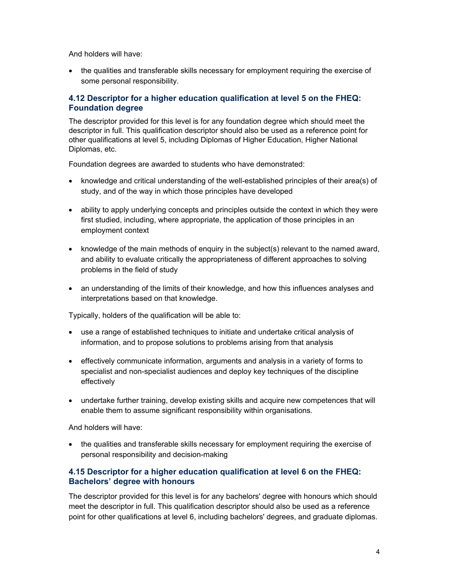And holders will have:

• the qualities and transferable skills necessary for employment requiring the exercise of some personal responsibility.

### **4.12 Descriptor for a higher education qualification at level 5 on the FHEQ: Foundation degree**

The descriptor provided for this level is for any foundation degree which should meet the descriptor in full. This qualification descriptor should also be used as a reference point for other qualifications at level 5, including Diplomas of Higher Education, Higher National Diplomas, etc.

Foundation degrees are awarded to students who have demonstrated:

- knowledge and critical understanding of the well-established principles of their area(s) of study, and of the way in which those principles have developed
- ability to apply underlying concepts and principles outside the context in which they were first studied, including, where appropriate, the application of those principles in an employment context
- knowledge of the main methods of enquiry in the subject(s) relevant to the named award, and ability to evaluate critically the appropriateness of different approaches to solving problems in the field of study
- an understanding of the limits of their knowledge, and how this influences analyses and interpretations based on that knowledge.

Typically, holders of the qualification will be able to:

- use a range of established techniques to initiate and undertake critical analysis of information, and to propose solutions to problems arising from that analysis
- effectively communicate information, arguments and analysis in a variety of forms to specialist and non-specialist audiences and deploy key techniques of the discipline effectively
- undertake further training, develop existing skills and acquire new competences that will enable them to assume significant responsibility within organisations.

And holders will have:

• the qualities and transferable skills necessary for employment requiring the exercise of personal responsibility and decision-making

### **4.15 Descriptor for a higher education qualification at level 6 on the FHEQ: Bachelors' degree with honours**

The descriptor provided for this level is for any bachelors' degree with honours which should meet the descriptor in full. This qualification descriptor should also be used as a reference point for other qualifications at level 6, including bachelors' degrees, and graduate diplomas.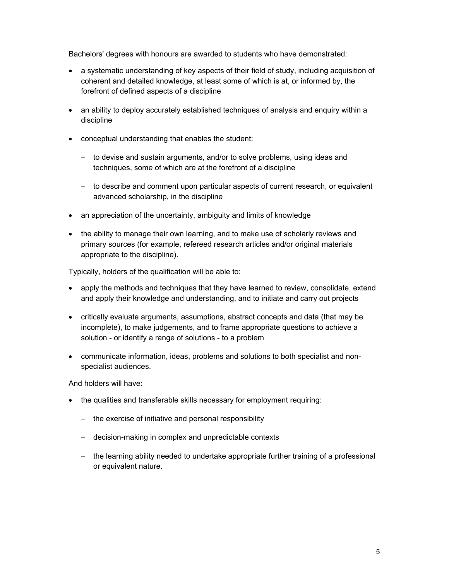Bachelors' degrees with honours are awarded to students who have demonstrated:

- a systematic understanding of key aspects of their field of study, including acquisition of coherent and detailed knowledge, at least some of which is at, or informed by, the forefront of defined aspects of a discipline
- an ability to deploy accurately established techniques of analysis and enquiry within a discipline
- conceptual understanding that enables the student:
	- to devise and sustain arguments, and/or to solve problems, using ideas and techniques, some of which are at the forefront of a discipline
	- $-$  to describe and comment upon particular aspects of current research, or equivalent advanced scholarship, in the discipline
- an appreciation of the uncertainty, ambiguity and limits of knowledge
- the ability to manage their own learning, and to make use of scholarly reviews and primary sources (for example, refereed research articles and/or original materials appropriate to the discipline).

Typically, holders of the qualification will be able to:

- apply the methods and techniques that they have learned to review, consolidate, extend and apply their knowledge and understanding, and to initiate and carry out projects
- critically evaluate arguments, assumptions, abstract concepts and data (that may be incomplete), to make judgements, and to frame appropriate questions to achieve a solution - or identify a range of solutions - to a problem
- communicate information, ideas, problems and solutions to both specialist and nonspecialist audiences.

And holders will have:

- the qualities and transferable skills necessary for employment requiring:
	- $-$  the exercise of initiative and personal responsibility
	- decision-making in complex and unpredictable contexts
	- $-$  the learning ability needed to undertake appropriate further training of a professional or equivalent nature.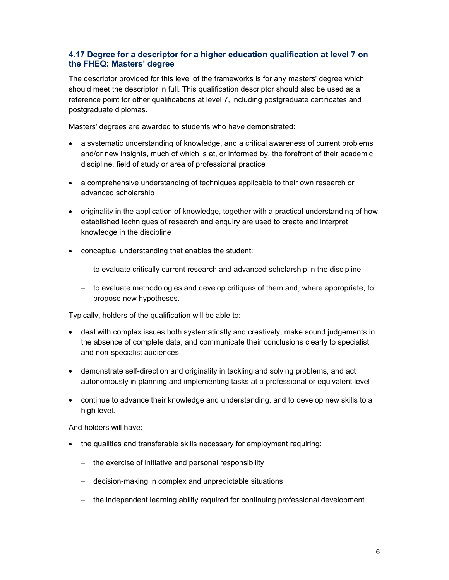#### **4.17 Degree for a descriptor for a higher education qualification at level 7 on the FHEQ: Masters' degree**

The descriptor provided for this level of the frameworks is for any masters' degree which should meet the descriptor in full. This qualification descriptor should also be used as a reference point for other qualifications at level 7, including postgraduate certificates and postgraduate diplomas.

Masters' degrees are awarded to students who have demonstrated:

- a systematic understanding of knowledge, and a critical awareness of current problems and/or new insights, much of which is at, or informed by, the forefront of their academic discipline, field of study or area of professional practice
- a comprehensive understanding of techniques applicable to their own research or advanced scholarship
- originality in the application of knowledge, together with a practical understanding of how established techniques of research and enquiry are used to create and interpret knowledge in the discipline
- conceptual understanding that enables the student:
	- $-$  to evaluate critically current research and advanced scholarship in the discipline
	- $-$  to evaluate methodologies and develop critiques of them and, where appropriate, to propose new hypotheses.

Typically, holders of the qualification will be able to:

- deal with complex issues both systematically and creatively, make sound judgements in the absence of complete data, and communicate their conclusions clearly to specialist and non-specialist audiences
- demonstrate self-direction and originality in tackling and solving problems, and act autonomously in planning and implementing tasks at a professional or equivalent level
- continue to advance their knowledge and understanding, and to develop new skills to a high level.

And holders will have:

- the qualities and transferable skills necessary for employment requiring:
	- the exercise of initiative and personal responsibility
	- decision-making in complex and unpredictable situations
	- the independent learning ability required for continuing professional development.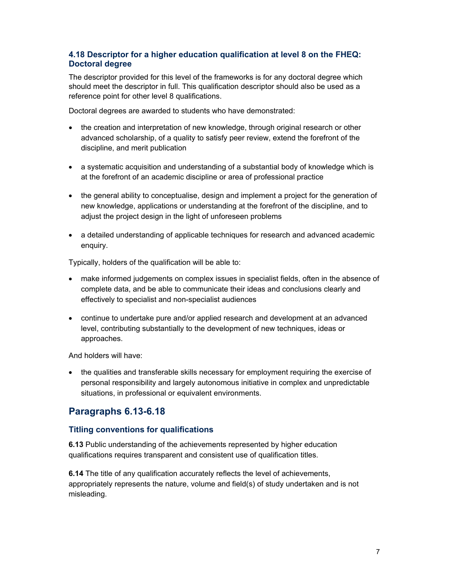### **4.18 Descriptor for a higher education qualification at level 8 on the FHEQ: Doctoral degree**

The descriptor provided for this level of the frameworks is for any doctoral degree which should meet the descriptor in full. This qualification descriptor should also be used as a reference point for other level 8 qualifications.

Doctoral degrees are awarded to students who have demonstrated:

- the creation and interpretation of new knowledge, through original research or other advanced scholarship, of a quality to satisfy peer review, extend the forefront of the discipline, and merit publication
- a systematic acquisition and understanding of a substantial body of knowledge which is at the forefront of an academic discipline or area of professional practice
- the general ability to conceptualise, design and implement a project for the generation of new knowledge, applications or understanding at the forefront of the discipline, and to adjust the project design in the light of unforeseen problems
- a detailed understanding of applicable techniques for research and advanced academic enquiry.

Typically, holders of the qualification will be able to:

- make informed judgements on complex issues in specialist fields, often in the absence of complete data, and be able to communicate their ideas and conclusions clearly and effectively to specialist and non-specialist audiences
- continue to undertake pure and/or applied research and development at an advanced level, contributing substantially to the development of new techniques, ideas or approaches.

And holders will have:

• the qualities and transferable skills necessary for employment requiring the exercise of personal responsibility and largely autonomous initiative in complex and unpredictable situations, in professional or equivalent environments.

# **Paragraphs 6.13-6.18**

### **Titling conventions for qualifications**

**6.13** Public understanding of the achievements represented by higher education qualifications requires transparent and consistent use of qualification titles.

**6.14** The title of any qualification accurately reflects the level of achievements, appropriately represents the nature, volume and field(s) of study undertaken and is not misleading.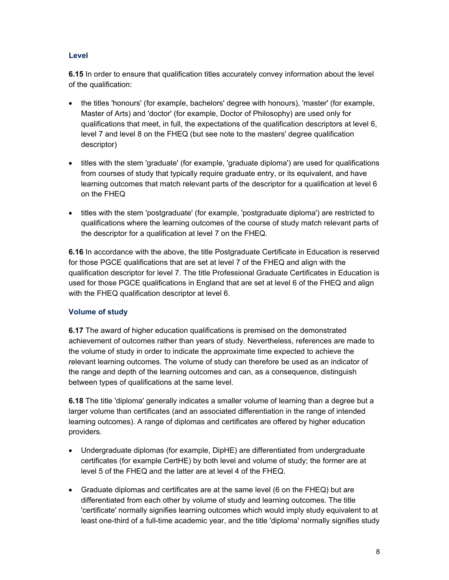#### **Level**

**6.15** In order to ensure that qualification titles accurately convey information about the level of the qualification:

- the titles 'honours' (for example, bachelors' degree with honours), 'master' (for example, Master of Arts) and 'doctor' (for example, Doctor of Philosophy) are used only for qualifications that meet, in full, the expectations of the qualification descriptors at level 6, level 7 and level 8 on the FHEQ (but see note to the masters' degree qualification descriptor)
- titles with the stem 'graduate' (for example, 'graduate diploma') are used for qualifications from courses of study that typically require graduate entry, or its equivalent, and have learning outcomes that match relevant parts of the descriptor for a qualification at level 6 on the FHEQ
- titles with the stem 'postgraduate' (for example, 'postgraduate diploma') are restricted to qualifications where the learning outcomes of the course of study match relevant parts of the descriptor for a qualification at level 7 on the FHEQ.

**6.16** In accordance with the above, the title Postgraduate Certificate in Education is reserved for those PGCE qualifications that are set at level 7 of the FHEQ and align with the qualification descriptor for level 7. The title Professional Graduate Certificates in Education is used for those PGCE qualifications in England that are set at level 6 of the FHEQ and align with the FHEQ qualification descriptor at level 6.

### **Volume of study**

**6.17** The award of higher education qualifications is premised on the demonstrated achievement of outcomes rather than years of study. Nevertheless, references are made to the volume of study in order to indicate the approximate time expected to achieve the relevant learning outcomes. The volume of study can therefore be used as an indicator of the range and depth of the learning outcomes and can, as a consequence, distinguish between types of qualifications at the same level.

**6.18** The title 'diploma' generally indicates a smaller volume of learning than a degree but a larger volume than certificates (and an associated differentiation in the range of intended learning outcomes). A range of diplomas and certificates are offered by higher education providers.

- Undergraduate diplomas (for example, DipHE) are differentiated from undergraduate certificates (for example CertHE) by both level and volume of study; the former are at level 5 of the FHEQ and the latter are at level 4 of the FHEQ.
- Graduate diplomas and certificates are at the same level (6 on the FHEQ) but are differentiated from each other by volume of study and learning outcomes. The title 'certificate' normally signifies learning outcomes which would imply study equivalent to at least one-third of a full-time academic year, and the title 'diploma' normally signifies study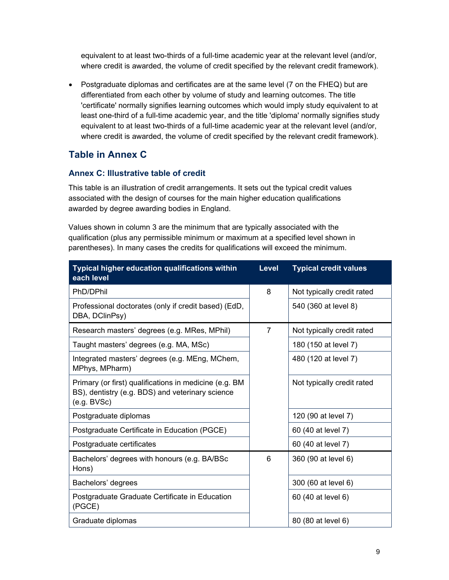equivalent to at least two-thirds of a full-time academic year at the relevant level (and/or, where credit is awarded, the volume of credit specified by the relevant credit framework).

 Postgraduate diplomas and certificates are at the same level (7 on the FHEQ) but are differentiated from each other by volume of study and learning outcomes. The title 'certificate' normally signifies learning outcomes which would imply study equivalent to at least one-third of a full-time academic year, and the title 'diploma' normally signifies study equivalent to at least two-thirds of a full-time academic year at the relevant level (and/or, where credit is awarded, the volume of credit specified by the relevant credit framework).

# **Table in Annex C**

#### **Annex C: Illustrative table of credit**

This table is an illustration of credit arrangements. It sets out the typical credit values associated with the design of courses for the main higher education qualifications awarded by degree awarding bodies in England.

Values shown in column 3 are the minimum that are typically associated with the qualification (plus any permissible minimum or maximum at a specified level shown in parentheses). In many cases the credits for qualifications will exceed the minimum.

| Typical higher education qualifications within<br>each level                                                              | <b>Level</b>   | <b>Typical credit values</b> |
|---------------------------------------------------------------------------------------------------------------------------|----------------|------------------------------|
| PhD/DPhil                                                                                                                 | 8              | Not typically credit rated   |
| Professional doctorates (only if credit based) (EdD,<br>DBA, DClinPsy)                                                    |                | 540 (360 at level 8)         |
| Research masters' degrees (e.g. MRes, MPhil)                                                                              | $\overline{7}$ | Not typically credit rated   |
| Taught masters' degrees (e.g. MA, MSc)                                                                                    |                | 180 (150 at level 7)         |
| Integrated masters' degrees (e.g. MEng, MChem,<br>MPhys, MPharm)                                                          |                | 480 (120 at level 7)         |
| Primary (or first) qualifications in medicine (e.g. BM<br>BS), dentistry (e.g. BDS) and veterinary science<br>(e.g. BVSc) |                | Not typically credit rated   |
| Postgraduate diplomas                                                                                                     |                | 120 (90 at level 7)          |
| Postgraduate Certificate in Education (PGCE)                                                                              |                | 60 (40 at level 7)           |
| Postgraduate certificates                                                                                                 |                | 60 (40 at level 7)           |
| Bachelors' degrees with honours (e.g. BA/BSc<br>Hons)                                                                     | 6              | 360 (90 at level 6)          |
| Bachelors' degrees                                                                                                        |                | 300 (60 at level 6)          |
| Postgraduate Graduate Certificate in Education<br>(PGCE)                                                                  |                | 60 (40 at level 6)           |
| Graduate diplomas                                                                                                         |                | 80 (80 at level 6)           |